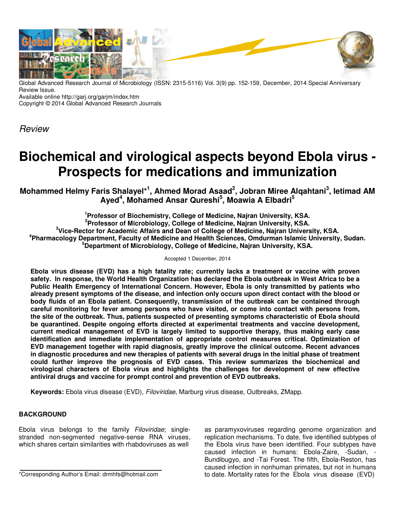

Global Advanced Research Journal of Microbiology (ISSN: 2315-5116) Vol. 3(9) pp. 152-159, December, 2014 Special Anniversary Review Issue.

Available online http://garj.org/garjm/index.htm

Copyright © 2014 Global Advanced Research Journals

Review

# **Biochemical and virological aspects beyond Ebola virus - Prospects for medications and immunization**

**Mohammed Helmy Faris Shalayel\*<sup>1</sup> , Ahmed Morad Asaad<sup>2</sup> , Jobran Miree Alqahtani<sup>3</sup> , Ietimad AM Ayed<sup>4</sup> , Mohamed Ansar Qureshi<sup>5</sup> , Moawia A Elbadri<sup>5</sup>**

 **Professor of Biochemistry, College of Medicine, Najran University, KSA. Professor of Microbiology, College of Medicine, Najran University, KSA. Vice-Rector for Academic Affairs and Dean of College of Medicine, Najran University, KSA. Pharmacology Department, Faculty of Medicine and Health Sciences, Omdurman Islamic University, Sudan. Department of Microbiology, College of Medicine, Najran University, KSA.** 

Accepted 1 December, 2014

**Ebola virus disease (EVD) has a high fatality rate; currently lacks a treatment or vaccine with proven safety. In response, the World Health Organization has declared the Ebola outbreak in West Africa to be a Public Health Emergency of International Concern. However, Ebola is only transmitted by patients who already present symptoms of the disease, and infection only occurs upon direct contact with the blood or body fluids of an Ebola patient. Consequently, transmission of the outbreak can be contained through careful monitoring for fever among persons who have visited, or come into contact with persons from, the site of the outbreak. Thus, patients suspected of presenting symptoms characteristic of Ebola should be quarantined. Despite ongoing efforts directed at experimental treatments and vaccine development, current medical management of EVD is largely limited to supportive therapy, thus making early case identification and immediate implementation of appropriate control measures critical. Optimization of EVD management together with rapid diagnosis, greatly improve the clinical outcome. Recent advances in diagnostic procedures and new therapies of patients with several drugs in the initial phase of treatment could further improve the prognosis of EVD cases. This review summarizes the biochemical and virological characters of Ebola virus and highlights the challenges for development of new effective antiviral drugs and vaccine for prompt control and prevention of EVD outbreaks.** 

**Keywords:** Ebola virus disease (EVD), Filoviridae, Marburg virus disease, Outbreaks, ZMapp.

## **BACKGROUND**

Ebola virus belongs to the family Filoviridae; singlestranded non-segmented negative-sense RNA viruses, which shares certain similarities with rhabdoviruses as well

\*Corresponding Author's Email: drmhfs@hotmail.com

as paramyxoviruses regarding genome organization and replication mechanisms. To date, five identified subtypes of the Ebola virus have been identified. Four subtypes have caused infection in humans: Ebola-Zaire, -Sudan, - Bundibugyo, and -Tai Forest. The fifth, Ebola-Reston, has caused infection in nonhuman primates, but not in humans to date. Mortality rates for the Ebola virus disease (EVD)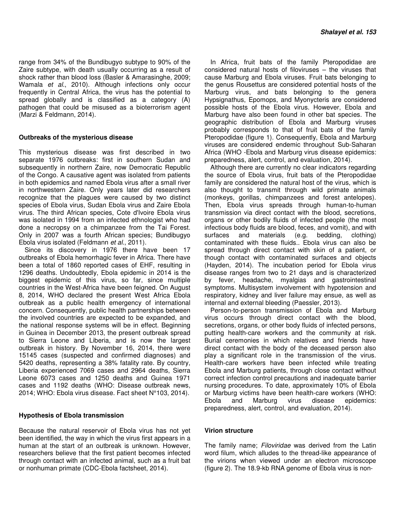range from 34% of the Bundibugyo subtype to 90% of the Zaire subtype, with death usually occurring as a result of shock rather than blood loss (Basler & Amarasinghe, 2009; Wamala et al., 2010). Although infections only occur frequently in Central Africa, the virus has the potential to spread globally and is classified as a category (A) pathogen that could be misused as a bioterrorism agent (Marzi & Feldmann, 2014).

#### **Outbreaks of the mysterious disease**

This mysterious disease was first described in two separate 1976 outbreaks: first in southern Sudan and subsequently in northern Zaire, now Democratic Republic of the Congo. A causative agent was isolated from patients in both epidemics and named Ebola virus after a small river in northwestern Zaire. Only years later did researchers recognize that the plagues were caused by two distinct species of Ebola virus, Sudan Ebola virus and Zaire Ebola virus. The third African species, Cote d'Ivoire Ebola virus was isolated in 1994 from an infected ethnologist who had done a necropsy on a chimpanzee from the Tai Forest. Only in 2007 was a fourth African species; Bundibugyo Ebola virus isolated (Feldmann et al., 2011).

Since its discovery in 1976 there have been 17 outbreaks of Ebola hemorrhagic fever in Africa. There have been a total of 1860 reported cases of EHF, resulting in 1296 deaths. Undoubtedly, Ebola epidemic in 2014 is the biggest epidemic of this virus, so far, since multiple countries in the West-Africa have been feigned. On August 8, 2014, WHO declared the present West Africa Ebola outbreak as a public health emergency of international concern. Consequently, public health partnerships between the involved countries are expected to be expanded, and the national response systems will be in effect. Beginning in Guinea in December 2013, the present outbreak spread to Sierra Leone and Liberia, and is now the largest outbreak in history. By November 16, 2014, there were 15145 cases (suspected and confirmed diagnoses) and 5420 deaths, representing a 38% fatality rate. By country, Liberia experienced 7069 cases and 2964 deaths, Sierra Leone 6073 cases and 1250 deaths and Guinea 1971 cases and 1192 deaths (WHO: Disease outbreak news, 2014; WHO: Ebola virus disease. Fact sheet N°103, 2014).

#### **Hypothesis of Ebola transmission**

Because the natural reservoir of Ebola virus has not yet been identified, the way in which the virus first appears in a human at the start of an outbreak is unknown. However, researchers believe that the first patient becomes infected through contact with an infected animal, such as a fruit bat or nonhuman primate (CDC-Ebola factsheet, 2014).

In Africa, fruit bats of the family Pteropodidae are considered natural hosts of filoviruses – the viruses that cause Marburg and Ebola viruses. Fruit bats belonging to the genus Rousettus are considered potential hosts of the Marburg virus, and bats belonging to the genera Hypsignathus, Epomops, and Myonycteris are considered possible hosts of the Ebola virus. However, Ebola and Marburg have also been found in other bat species. The geographic distribution of Ebola and Marburg viruses probably corresponds to that of fruit bats of the family Pteropodidae (figure 1). Consequently, Ebola and Marburg viruses are considered endemic throughout Sub-Saharan Africa (WHO -Ebola and Marburg virus disease epidemics: preparedness, alert, control, and evaluation, 2014).

Although there are currently no clear indicators regarding the source of Ebola virus, fruit bats of the Pteropodidae family are considered the natural host of the virus, which is also thought to transmit through wild primate animals (monkeys, gorillas, chimpanzees and forest antelopes). Then, Ebola virus spreads through human-to-human transmission via direct contact with the blood, secretions, organs or other bodily fluids of infected people (the most infectious body fluids are blood, feces, and vomit), and with surfaces and materials (e.g. bedding, clothing) contaminated with these fluids.. Ebola virus can also be spread through direct contact with skin of a patient, or though contact with contaminated surfaces and objects (Hayden, 2014). The incubation period for Ebola virus disease ranges from two to 21 days and is characterized by fever, headache, myalgias and gastrointestinal symptoms. Multisystem involvement with hypotension and respiratory, kidney and liver failure may ensue, as well as internal and external bleeding (Paessler, 2013).

Person-to-person transmission of Ebola and Marburg virus occurs through direct contact with the blood, secretions, organs, or other body fluids of infected persons, putting health-care workers and the community at risk. Burial ceremonies in which relatives and friends have direct contact with the body of the deceased person also play a significant role in the transmission of the virus. Health-care workers have been infected while treating Ebola and Marburg patients, through close contact without correct infection control precautions and inadequate barrier nursing procedures. To date, approximately 10% of Ebola or Marburg victims have been health-care workers (WHO: Ebola and Marburg virus disease epidemics: preparedness, alert, control, and evaluation, 2014).

### **Virion structure**

The family name; Filoviridae was derived from the Latin word filum, which alludes to the thread-like appearance of the virions when viewed under an electron microscope (figure 2). The 18.9-kb RNA genome of Ebola virus is non-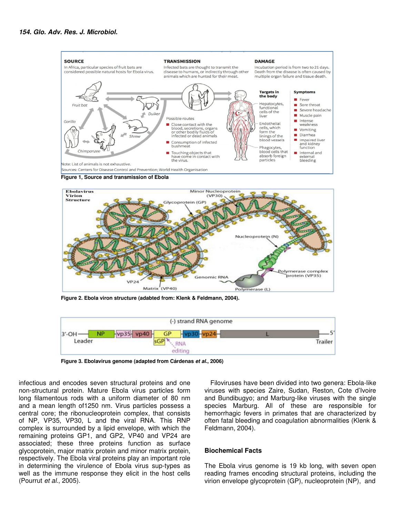



 **Figure 2. Ebola viron structure (adabted from: Klenk & Feldmann, 2004).** 



 **Figure 3. Ebolavirus genome (adapted from Cárdenas et al., 2006)** 

infectious and encodes seven structural proteins and one non-structural protein. Mature Ebola virus particles form long filamentous rods with a uniform diameter of 80 nm and a mean length of1250 nm. Virus particles possess a central core; the ribonucleoprotein complex, that consists of NP, VP35, VP30, L and the viral RNA. This RNP complex is surrounded by a lipid envelope, with which the remaining proteins GP1, and GP2, VP40 and VP24 are associated; these three proteins function as surface glycoprotein, major matrix protein and minor matrix protein, respectively. The Ebola viral proteins play an important role in determining the virulence of Ebola virus sup-types as well as the immune response they elicit in the host cells (Pourrut et al., 2005).

Filoviruses have been divided into two genera: Ebola-like viruses with species Zaire, Sudan, Reston, Cote d'Ivoire and Bundibugyo; and Marburg-like viruses with the single species Marburg. All of these are responsible for hemorrhagic fevers in primates that are characterized by often fatal bleeding and coagulation abnormalities (Klenk & Feldmann, 2004).

#### **Biochemical Facts**

The Ebola virus genome is 19 kb long, with seven open reading frames encoding structural proteins, including the virion envelope glycoprotein (GP), nucleoprotein (NP), and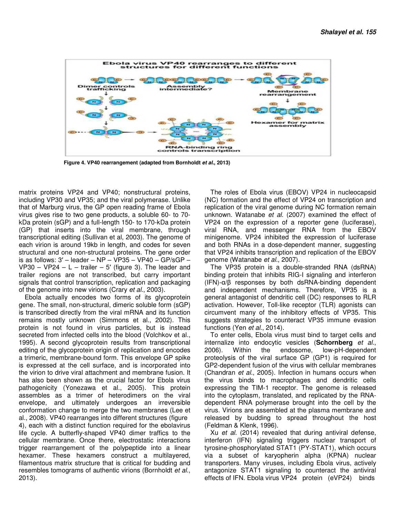

 **Figure 4. VP40 rearrangement (adapted from Bornholdt et al., 2013)** 

matrix proteins VP24 and VP40; nonstructural proteins, including VP30 and VP35; and the viral polymerase. Unlike that of Marburg virus, the GP open reading frame of Ebola virus gives rise to two gene products, a soluble 60- to 70 kDa protein (sGP) and a full-length 150- to 170-kDa protein (GP) that inserts into the viral membrane, through transcriptional editing (Sullivan et al, 2003). The genome of each virion is around 19kb in length, and codes for seven structural and one non-structural proteins. The gene order is as follows:  $3'$  – leader – NP – VP35 – VP40 – GP/sGP – VP30 – VP24 –  $L$  – trailer – 5' (figure 3). The leader and trailer regions are not transcribed, but carry important signals that control transcription, replication and packaging of the genome into new virions (Crary et al., 2003).

Ebola actually encodes two forms of its glycoprotein gene. The small, non-structural, dimeric soluble form (sGP) is transcribed directly from the viral mRNA and its function remains mostly unknown (Simmons et al., 2002). This protein is not found in virus particles, but is instead secreted from infected cells into the blood (Volchkov et al., 1995). A second glycoprotein results from transcriptional editing of the glycoprotein origin of replication and encodes a trimeric, membrane-bound form. This envelope GP spike is expressed at the cell surface, and is incorporated into the virion to drive viral attachment and membrane fusion. It has also been shown as the crucial factor for Ebola virus pathogenicity (Yonezawa et al., 2005). This protein assembles as a trimer of heterodimers on the viral envelope, and ultimately undergoes an irreversible conformation change to merge the two membranes (Lee et al., 2008). VP40 rearranges into different structures (figure 4), each with a distinct function required for the ebolavirus life cycle. A butterfly-shaped VP40 dimer traffics to the cellular membrane. Once there, electrostatic interactions trigger rearrangement of the polypeptide into a linear hexamer. These hexamers construct a multilayered, filamentous matrix structure that is critical for budding and resembles tomograms of authentic virions (Bornholdt et al., 2013).

The roles of Ebola virus (EBOV) VP24 in nucleocapsid (NC) formation and the effect of VP24 on transcription and replication of the viral genome during NC formation remain unknown. Watanabe et al. (2007) examined the effect of VP24 on the expression of a reporter gene (luciferase), viral RNA, and messenger RNA from the EBOV minigenome. VP24 inhibited the expression of luciferase and both RNAs in a dose-dependent manner, suggesting that VP24 inhibits transcription and replication of the EBOV genome (Watanabe et al., 2007).

The VP35 protein is a double-stranded RNA (dsRNA) binding protein that inhibits RIG-I signaling and interferon (IFN)-α/β responses by both dsRNA-binding dependent and independent mechanisms. Therefore, VP35 is a general antagonist of dendritic cell (DC) responses to RLR activation. However, Toll-like receptor (TLR) agonists can circumvent many of the inhibitory effects of VP35. This suggests strategies to counteract VP35 immune evasion functions (Yen et al., 2014).

To enter cells, Ebola virus must bind to target cells and internalize into endocytic vesicles (**Schornberg** et al., 2006). Within the endosome, low-pH-dependent 2006). Within the endosome, low-pH-dependent proteolysis of the viral surface GP (GP1) is required for GP2-dependent fusion of the virus with cellular membranes (Chandran et al., 2005). Infection in humans occurs when the virus binds to macrophages and dendritic cells expressing the TIM-1 receptor. The genome is released into the cytoplasm, translated, and replicated by the RNAdependent RNA polymerase brought into the cell by the virus. Virions are assembled at the plasma membrane and released by budding to spread throughout the host (Feldman & Klenk, 1996).

Xu et al. (2014) revealed that during antiviral defense, interferon (IFN) signaling triggers nuclear transport of tyrosine-phosphorylated STAT1 (PY-STAT1), which occurs via a subset of karyopherin alpha (KPNA) nuclear transporters. Many viruses, including Ebola virus, actively antagonize STAT1 signaling to counteract the antiviral effects of IFN. Ebola virus VP24 protein (eVP24) binds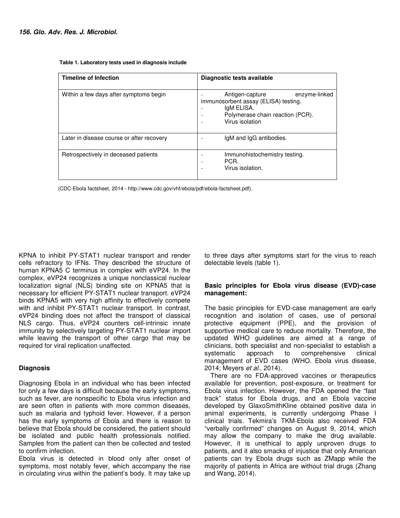| <b>Timeline of Infection</b>              | Diagnostic tests available                                                                                                                    |
|-------------------------------------------|-----------------------------------------------------------------------------------------------------------------------------------------------|
| Within a few days after symptoms begin    | Antigen-capture<br>enzyme-linked<br>immunosorbent assay (ELISA) testing.<br>IgM ELISA.<br>Polymerase chain reaction (PCR).<br>Virus isolation |
| Later in disease course or after recovery | IgM and IgG antibodies.                                                                                                                       |
| Retrospectively in deceased patients      | Immunohistochemistry testing.<br>PCR.<br>Virus isolation.                                                                                     |

 **Table 1. Laboratory tests used in diagnosis include** 

(CDC-Ebola factsheet, 2014 - http://www.cdc.gov/vhf/ebola/pdf/ebola-factsheet.pdf).

KPNA to inhibit PY-STAT1 nuclear transport and render cells refractory to IFNs. They described the structure of human KPNA5 C terminus in complex with eVP24. In the complex, eVP24 recognizes a unique nonclassical nuclear localization signal (NLS) binding site on KPNA5 that is necessary for efficient PY-STAT1 nuclear transport. eVP24 binds KPNA5 with very high affinity to effectively compete with and inhibit PY-STAT1 nuclear transport. In contrast, eVP24 binding does not affect the transport of classical NLS cargo. Thus, eVP24 counters cell-intrinsic innate immunity by selectively targeting PY-STAT1 nuclear import while leaving the transport of other cargo that may be required for viral replication unaffected.

### **Diagnosis**

Diagnosing Ebola in an individual who has been infected for only a few days is difficult because the early symptoms, such as fever, are nonspecific to Ebola virus infection and are seen often in patients with more common diseases, such as malaria and typhoid fever. However, if a person has the early symptoms of Ebola and there is reason to believe that Ebola should be considered, the patient should be isolated and public health professionals notified. Samples from the patient can then be collected and tested to confirm infection.

Ebola virus is detected in blood only after onset of symptoms, most notably fever, which accompany the rise in circulating virus within the patient's body. It may take up

to three days after symptoms start for the virus to reach delectable levels (table 1).

### **Basic principles for Ebola virus disease (EVD)-case management:**

The basic principles for EVD-case management are early recognition and isolation of cases, use of personal protective equipment (PPE), and the provision of supportive medical care to reduce mortality. Therefore, the updated WHO guidelines are aimed at a range of clinicians, both specialist and non-specialist to establish a systematic approach to comprehensive clinical management of EVD cases (WHO. Ebola virus disease, 2014; Meyers et al., 2014).

There are no FDA-approved vaccines or therapeutics available for prevention, post-exposure, or treatment for Ebola virus infection. However, the FDA opened the "fast track" status for Ebola drugs, and an Ebola vaccine developed by GlaxoSmithKline obtained positive data in animal experiments, is currently undergoing Phase I clinical trials. Tekmira's TKM-Ebola also received FDA "verbally confirmed" changes on August 9, 2014, which may allow the company to make the drug available. However, it is unethical to apply unproven drugs to patients, and it also smacks of injustice that only American patients can try Ebola drugs such as ZMapp while the majority of patients in Africa are without trial drugs (Zhang and Wang, 2014).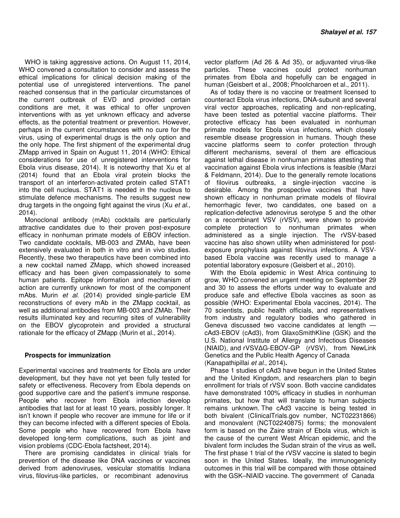WHO is taking aggressive actions. On August 11, 2014, WHO convened a consultation to consider and assess the ethical implications for clinical decision making of the potential use of unregistered interventions. The panel reached consensus that in the particular circumstances of the current outbreak of EVD and provided certain conditions are met, it was ethical to offer unproven interventions with as yet unknown efficacy and adverse effects, as the potential treatment or prevention. However, perhaps in the current circumstances with no cure for the virus, using of experimental drugs is the only option and the only hope. The first shipment of the experimental drug ZMapp arrived in Spain on August 11, 2014 (WHO: Ethical considerations for use of unregistered interventions for Ebola virus disease, 2014). It is noteworthy that Xu et al (2014) found that an Ebola viral protein blocks the transport of an interferon-activated protein called STAT1 into the cell nucleus. STAT1 is needed in the nucleus to stimulate defence mechanisms. The results suggest new drug targets in the ongoing fight against the virus (Xu et al., 2014).

Monoclonal antibody (mAb) cocktails are particularly attractive candidates due to their proven post-exposure efficacy in nonhuman primate models of EBOV infection. Two candidate cocktails, MB-003 and ZMAb, have been extensively evaluated in both in vitro and in vivo studies. Recently, these two therapeutics have been combined into a new cocktail named ZMapp, which showed increased efficacy and has been given compassionately to some human patients. Epitope information and mechanism of action are currently unknown for most of the component mAbs. Murin et al. (2014) provided single-particle EM reconstructions of every mAb in the ZMapp cocktail, as well as additional antibodies from MB-003 and ZMAb. Their results illuminated key and recurring sites of vulnerability on the EBOV glycoprotein and provided a structural rationale for the efficacy of ZMapp (Murin et al., 2014).

### **Prospects for immunization**

Experimental vaccines and treatments for Ebola are under development, but they have not yet been fully tested for safety or effectiveness. Recovery from Ebola depends on good supportive care and the patient's immune response. People who recover from Ebola infection develop antibodies that last for at least 10 years, possibly longer. It isn't known if people who recover are immune for life or if they can become infected with a different species of Ebola. Some people who have recovered from Ebola have developed long-term complications, such as joint and vision problems (CDC-Ebola factsheet, 2014).

There are promising candidates in clinical trials for prevention of the disease like DNA vaccines or vaccines derived from adenoviruses, vesicular stomatitis Indiana virus, filovirus-like particles, or recombinant adenovirus

vector platform (Ad 26 & Ad 35), or adjuvanted virus-like particles. These vaccines could protect nonhuman primates from Ebola and hopefully can be engaged in human (Geisbert et al., 2008; Phoolcharoen et al., 2011).

As of today there is no vaccine or treatment licensed to counteract Ebola virus infections, DNA-subunit and several viral vector approaches, replicating and non-replicating, have been tested as potential vaccine platforms. Their protective efficacy has been evaluated in nonhuman primate models for Ebola virus infections, which closely resemble disease progression in humans. Though these vaccine platforms seem to confer protection through different mechanisms, several of them are efficacious against lethal disease in nonhuman primates attesting that vaccination against Ebola virus infections is feasible (Marzi & Feldmann, 2014). Due to the generally remote locations of filovirus outbreaks, a single-injection vaccine is desirable. Among the prospective vaccines that have shown efficacy in nonhuman primate models of filoviral hemorrhagic fever, two candidates, one based on a replication-defective adenovirus serotype 5 and the other on a recombinant VSV (rVSV), were shown to provide complete protection to nonhuman primates when administered as a single injection. The rVSV-based vaccine has also shown utility when administered for postexposure prophylaxis against filovirus infections. A VSVbased Ebola vaccine was recently used to manage a potential laboratory exposure (Geisbert et al., 2010).

With the Ebola epidemic in West Africa continuing to grow, WHO convened an urgent meeting on September 29 and 30 to assess the efforts under way to evaluate and produce safe and effective Ebola vaccines as soon as possible (WHO: Experimental Ebola vaccines, 2014). The 70 scientists, public health officials, and representatives from industry and regulatory bodies who gathered in Geneva discussed two vaccine candidates at length cAd3-EBOV (cAd3), from GlaxoSmithKline (GSK) and the U.S. National Institute of Allergy and Infectious Diseases (NIAID), and rVSV∆G-EBOV-GP (rVSV), from NewLink Genetics and the Public Health Agency of Canada (Kanapathipillai et al., 2014)**.** 

Phase 1 studies of cAd3 have begun in the United States and the United Kingdom, and researchers plan to begin enrollment for trials of rVSV soon. Both vaccine candidates have demonstrated 100% efficacy in studies in nonhuman primates, but how that will translate to human subjects remains unknown. The cAd3 vaccine is being tested in both bivalent (ClinicalTrials.gov number, NCT02231866) and monovalent (NCT02240875) forms; the monovalent form is based on the Zaire strain of Ebola virus, which is the cause of the current West African epidemic, and the bivalent form includes the Sudan strain of the virus as well**.**  The first phase 1 trial of the rVSV vaccine is slated to begin soon in the United States. Ideally, the immunogenicity outcomes in this trial will be compared with those obtained with the GSK–NIAID vaccine. The government of Canada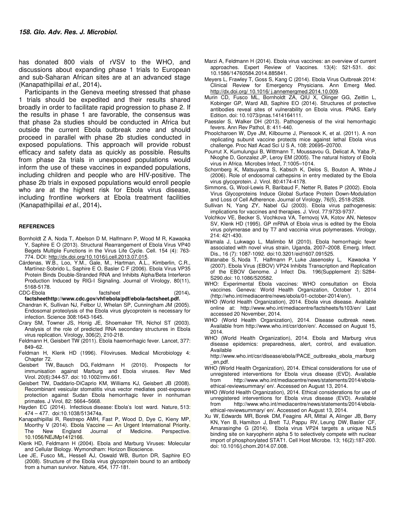has donated 800 vials of rVSV to the WHO, and discussions about expanding phase 1 trials to European and sub-Saharan African sites are at an advanced stage (Kanapathipillai et al., 2014)**.** 

Participants in the Geneva meeting stressed that phase 1 trials should be expedited and their results shared broadly in order to facilitate rapid progression to phase 2. If the results in phase 1 are favorable, the consensus was that phase 2a studies should be conducted in Africa but outside the current Ebola outbreak zone and should proceed in parallel with phase 2b studies conducted in exposed populations. This approach will provide robust efficacy and safety data as quickly as possible. Results from phase 2a trials in unexposed populations would inform the use of these vaccines in expanded populations, including children and people who are HIV-positive. The phase 2b trials in exposed populations would enroll people who are at the highest risk for Ebola virus disease, including frontline workers at Ebola treatment facilities (Kanapathipillai et al., 2014)**.** 

#### **REFERENCES**

- Bornholdt Z A, Noda T, Abelson D M, Halfmann P, Wood M R, Kawaoka Y, Saphire E O (2013). Structural Rearrangement of Ebola Virus VP40 Begets Multiple Functions in the Virus Life Cycle. Cell. 154 (4): 763- 774. DOI: http://dx.doi.org/10.1016/j.cell.2013.07.015.
- Cárdenas, W.B., Loo, Y.M., Gale, M., Hartman, A.L., Kimberlin, C.R., Martínez-Sobrido L, Saphire E O, Basler C F (2006). Ebola Virus VP35 Protein Binds Double-Stranded RNA and Inhibits Alpha/Beta Interferon Production Induced by RIG-I Signaling. Journal of Virology, 80(11), 5168-5178.
- CDC-Ebola factsheet (2014)**.**

**factsheethttp://www.cdc.gov/vhf/ebola/pdf/ebola-factsheet.pdf.** 

- Chandran K, Sullivan NJ, Felbor U, Whelan SP, Cunningham JM (2005). Endosomal proteolysis of the Ebola virus glycoprotein is necessary for infection. Science 308:1643-1645.
- Crary SM, Towner JS, Honig JE, Shoemaker TR, Nichol ST (2003). Analysis of the role of predicted RNA secondary structures in Ebola virus replication. Virology, 306(2), 210-218.
- Feldmann H, Geisbert TW (2011). Ebola haemorrhagic fever. Lancet, 377: 849–62.
- Feldman H, Klenk HD (1996). Filoviruses. Medical Microbiology 4: Chapter 72.
- Geisbert TW, Bausch DG, Feldmann H (2010). Prospects for immunisation against Marburg and Ebola viruses. Rev Med Virol. 20(6):344-57. doi: 10.1002/rmv.661.
- Geisbert TW, Daddario-DiCaprio KM, Williams KJ, Geisbert JB (2008). Recombinant vesicular stomatitis virus vector mediates post-exposure protection against Sudan Ebola hemorrhagic fever in nonhuman primates. J Virol, 82: 5664–5668.
- Hayden EC (2014). Infectious disease: Ebola's lost ward. Nature, 513: 474 – 477. doi:10.1038/513474a.
- Kanapathipillai R, Restrepo AMH, Fast P, Wood D, Dye C, Kieny MP, Moorthy V (2014). Ebola Vaccine — An Urgent International Priority.<br>The New England Journal of Medicine. Perspective. The New England Journal of Medicine. Perspective. 10.1056/NEJMp1412166.
- Klenk HD, Feldmann H (2004). Ebola and Marburg Viruses: Molecular and Cellular Biology. Wymondham: Horizon Bioscience.
- Lee JE, Fusco ML, Hessell AJ, Oswald WB, Burton DR, Saphire EO (2008). Structure of the Ebola virus glycoprotein bound to an antibody from a human survivor. Nature, 454, 177-181.
- Marzi A, Feldmann H (2014). Ebola virus vaccines: an overview of current approaches. Expert Review of Vaccines. 13(4): 521-531. doi: 10.1586/14760584.2014.885841.
- Meyers L, Frawley T, Goss S, Kang C (2014). Ebola Virus Outbreak 2014: Clinical Review for Emergency Physicians. Ann Emerg Med. http://dx.doi.org/ 10.1016/ j.annemergmed.2014.10.009.
- Murin CD, Fusco ML, Bornholdt ZA, QIU X, Olinger GG, Zeitlin L, Kobinger GP, Ward AB, Saphire EO (2014). Structures of protective antibodies reveal sites of vulnerability on Ebola virus. PNAS. Early Edition. doi: 10.1073/pnas.1414164111.
- Paessler S, Walker DH (2013). Pathogenesis of the viral hemorrhagic fevers. Ann Rev Pathol, 8: 411-440.
- Phoolcharoen W, Dye JM, Kilbourne J, Piensook K, et al. (2011). A non replicating subunit vaccine protects mice against lethal Ebola virus challenge. Proc Natl Acad Sci U S A, 108: 20695–20700.
- Pourrut X, Kumulungui B, Wittmann T, Moussavou G, Delicat A, Yaba P, Nkoghe D, Gonzalez JP, Leroy EM (2005). The natural history of Ebola virus in Africa. Microbes Infect, 7:1005–1014.
- Schornberg K, Matsuyama S, Kabsch K, Delos S, Bouton A, White J (2006). Role of endosomal cathepsins in entry mediated by the Ebola virus glycoprotein. J. Virol. 80:4174-4178.
- Simmons, G, Wool-Lewis R, Baribaud F, Netter R, Bates P (2002). Ebola Virus Glycoproteins Induce Global Surface Protein Down-Modulation and Loss of Cell Adherence. Journal of Virology, 76(5), 2518-2528.
- Sullivan N, Yang ZY, Nabel GJ (2003). Ebola virus pathogenesis: implications for vaccines and therapies. J. Virol. 77:9733-9737.
- Volchkov VE, Becker S, Vochkova VA, Ternovoj VA, Kotov AN, Netesov SV, Klenk HD (1995). GP mRNA of Ebola virus is edited by the Ebola virus polymerase and by T7 and vaccinia virus polymerases. Virology, 214: 421-430.
- Wamala J, Lukwago L, Malimbo M (2010). Ebola hemorrhagic fever associated with novel virus strain, Uganda, 2007–2008. Emerg. Infect. Dis., 16 (7): 1087-1092. doi:10.3201/eid1607.091525.
- Watanabe S, Noda T, Halfmann P, Luke Jasenosky L, Kawaoka Y (2007). Ebola Virus (EBOV) VP24 Inhibits Transcription and Replication of the EBOV Genome. J Infect Dis. 196(Supplement 2): S284- S290.doi: 10.1086/520582.
- WHO: Experimental Ebola vaccines: WHO consultation on Ebola vaccines. Geneva: World Health Organization, October 1, 2014 (http://who.int/mediacentre/news/ebola/01-october-2014/en/).
- WHO (World Health Organization), 2014. Ebola virus disease. Available online at: http://www.who.int/mediacentre/factsheets/fs103/en/ Last accessed 20 November, 2014.
- WHO (World Health Organization), 2014. Disease outbreak news. Available from http://www.who.int/csr/don/en/. Accessed on August 15, 2014.
- WHO (World Health Organization), 2014. Ebola and Marburg virus disease epidemics: preparedness, alert, control, and evaluation. Available from the state of the state of the state of the state of the state of the state of the state of the state of the state of the state of the state of the state of the state of the state of the state of the state of

http://www.who.int/csr/disease/ebola/PACE\_outbreaks\_ebola\_marburg \_en.pdf.

- WHO (World Health Organization), 2014. Ethical considerations for use of unregistered interventions for Ebola virus disease (EVD). Available from http://www.who.int/mediacentre/news/statements/2014/ebolaethical-reviewsummary/ en/. Accessed on August 13, 2014.
- WHO (World Health Organization), 2014. Ethical considerations for use of unregistered interventions for Ebola virus disease (EVD). Available from http://www.who.int/mediacentre/news/statements/2014/ebolaethical-reviewsummary/ en/. Accessed on August 13, 2014.
- Xu W, Edwards MR, Borek DM, Feagins AR, Mittal A, Alinger JB, Berry KN, Yen B, Hamilton J, Brett TJ, Pappu RV, Leung DW, Basler CF, Amarasinghe G (2014). Ebola virus VP24 targets a unique NLS binding site on karyopherin alpha 5 to selectively compete with nuclear import of phosphorylated STAT1. Cell Host Microbe. 13; 16(2):187-200. doi: 10.1016/j.chom.2014.07.008.